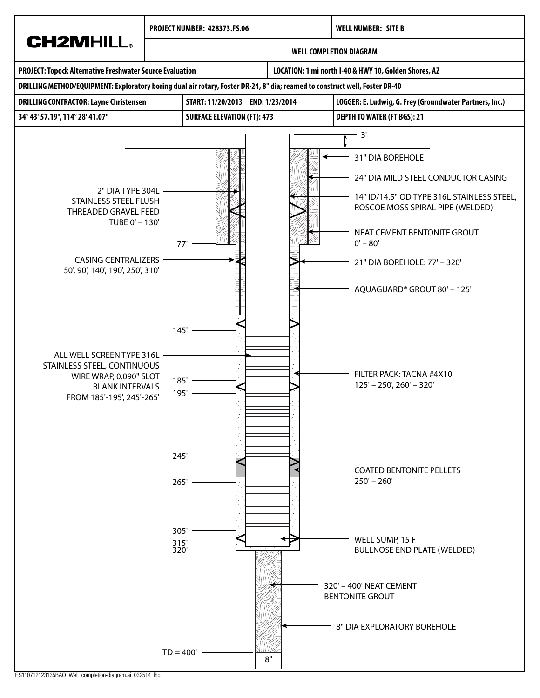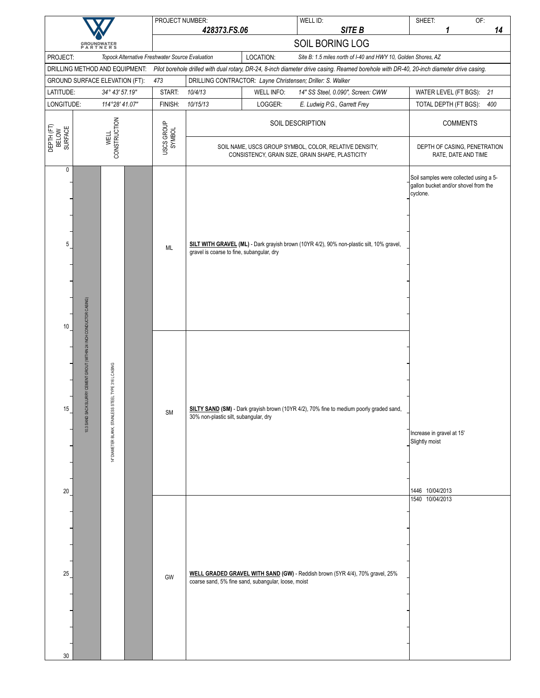|                                            |                                                                      |                                                            | PROJECT NUMBER:                                 |                                                                                                            |                   | WELL ID:                                                                                                                                                                                                  | SHEET:                                                                                     | OF:             |     |
|--------------------------------------------|----------------------------------------------------------------------|------------------------------------------------------------|-------------------------------------------------|------------------------------------------------------------------------------------------------------------|-------------------|-----------------------------------------------------------------------------------------------------------------------------------------------------------------------------------------------------------|--------------------------------------------------------------------------------------------|-----------------|-----|
|                                            |                                                                      |                                                            |                                                 | 428373.FS.06                                                                                               |                   | SITE B                                                                                                                                                                                                    | 1                                                                                          |                 | 14  |
|                                            | <b>GROUNDWATER</b><br>PARTNERS                                       |                                                            |                                                 |                                                                                                            |                   | SOIL BORING LOG                                                                                                                                                                                           |                                                                                            |                 |     |
| PROJECT:<br>DRILLING METHOD AND EQUIPMENT: |                                                                      |                                                            | Topock Alternative Freshwater Source Evaluation |                                                                                                            | LOCATION:         | Site B: 1.5 miles north of I-40 and HWY 10, Golden Shores, AZ<br>Pilot borehole drilled with dual rotary, DR-24, 8-inch diameter drive casing. Reamed borehole with DR-40, 20-inch diameter drive casing. |                                                                                            |                 |     |
| GROUND SURFACE ELEVATION (FT):             |                                                                      |                                                            | 473                                             |                                                                                                            |                   | DRILLING CONTRACTOR: Layne Christensen; Driller: S. Walker                                                                                                                                                |                                                                                            |                 |     |
| LATITUDE:                                  |                                                                      | 34° 43' 57.19"                                             | START:                                          | 10/4/13                                                                                                    | <b>WELL INFO:</b> | 14" SS Steel, 0.090", Screen: CWW                                                                                                                                                                         | WATER LEVEL (FT BGS):                                                                      |                 | 21  |
| LONGITUDE:                                 |                                                                      | 114°28' 41.07"                                             | FINISH:                                         | 10/15/13                                                                                                   | LOGGER:           | E. Ludwig P.G., Garrett Frey                                                                                                                                                                              | TOTAL DEPTH (FT BGS):                                                                      |                 | 400 |
| DEPTH (FT)<br>BELOW<br>SURFACE             |                                                                      | <b>CONSTRUCTION</b><br><b>WELL</b>                         | USCS GROUP<br>SYMBOL                            | SOIL DESCRIPTION                                                                                           |                   |                                                                                                                                                                                                           |                                                                                            | <b>COMMENTS</b> |     |
|                                            |                                                                      |                                                            |                                                 | SOIL NAME, USCS GROUP SYMBOL, COLOR, RELATIVE DENSITY,<br>CONSISTENCY, GRAIN SIZE, GRAIN SHAPE, PLASTICITY |                   |                                                                                                                                                                                                           | DEPTH OF CASING, PENETRATION<br>RATE, DATE AND TIME                                        |                 |     |
| 0<br>5<br>10                               |                                                                      |                                                            | ML                                              | gravel is coarse to fine, subangular, dry                                                                  |                   | SILT WITH GRAVEL (ML) - Dark grayish brown (10YR 4/2), 90% non-plastic silt, 10% gravel,                                                                                                                  | Soil samples were collected using a 5-<br>gallon bucket and/or shovel from the<br>cyclone. |                 |     |
| 15                                         | 10.3 SAND SACK SLURRY CEMENT GROUT (WITHIN 24 INCH CONDUCTOR CASING) | STEEL TYPE 316 L CASING<br>DIAMETER BLANK, STAINLESS<br>÷, | <b>SM</b>                                       | 30% non-plastic silt, subangular, dry                                                                      |                   | SILTY SAND (SM) - Dark grayish brown (10YR 4/2), 70% fine to medium poorly graded sand,                                                                                                                   | Increase in gravel at 15'<br>Slightly moist                                                |                 |     |
| 20<br>25<br>30                             |                                                                      |                                                            | GW                                              | coarse sand, 5% fine sand, subangular, loose, moist                                                        |                   | WELL GRADED GRAVEL WITH SAND (GW) - Reddish brown (5YR 4/4), 70% gravel, 25%                                                                                                                              | 1446 10/04/2013<br>1540 10/04/2013                                                         |                 |     |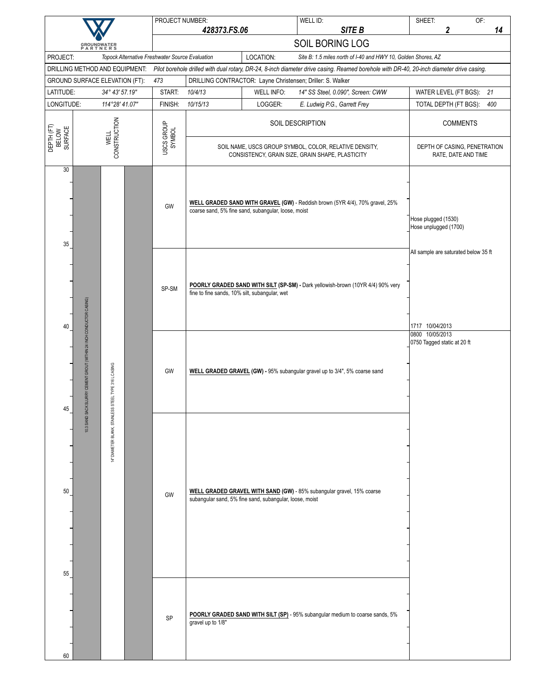|                                            |                                                                     |                                        |                                                                                                                                                                                   | PROJECT NUMBER:                                 |                                                                                                            |                                                         | WELL ID:                                                                                                                                                                                                  | SHEET:                                                            | OF:                   |     |
|--------------------------------------------|---------------------------------------------------------------------|----------------------------------------|-----------------------------------------------------------------------------------------------------------------------------------------------------------------------------------|-------------------------------------------------|------------------------------------------------------------------------------------------------------------|---------------------------------------------------------|-----------------------------------------------------------------------------------------------------------------------------------------------------------------------------------------------------------|-------------------------------------------------------------------|-----------------------|-----|
|                                            |                                                                     |                                        |                                                                                                                                                                                   |                                                 | 428373.FS.06                                                                                               |                                                         | SITE B<br>SOIL BORING LOG                                                                                                                                                                                 |                                                                   | 2                     | 14  |
|                                            | <b>GROUNDWATER</b><br>PARTNERS                                      |                                        |                                                                                                                                                                                   |                                                 |                                                                                                            |                                                         |                                                                                                                                                                                                           |                                                                   |                       |     |
| PROJECT:<br>DRILLING METHOD AND EQUIPMENT: |                                                                     |                                        |                                                                                                                                                                                   | Topock Alternative Freshwater Source Evaluation |                                                                                                            | LOCATION:                                               | Site B: 1.5 miles north of I-40 and HWY 10, Golden Shores, AZ<br>Pilot borehole drilled with dual rotary, DR-24, 8-inch diameter drive casing. Reamed borehole with DR-40, 20-inch diameter drive casing. |                                                                   |                       |     |
| GROUND SURFACE ELEVATION (FT):             |                                                                     |                                        |                                                                                                                                                                                   | 473                                             |                                                                                                            |                                                         | DRILLING CONTRACTOR: Layne Christensen; Driller: S. Walker                                                                                                                                                |                                                                   |                       |     |
| LATITUDE:                                  |                                                                     | 34° 43' 57.19"                         |                                                                                                                                                                                   | START:                                          | 10/4/13                                                                                                    | <b>WELL INFO:</b>                                       | 14" SS Steel, 0.090", Screen: CWW                                                                                                                                                                         |                                                                   | WATER LEVEL (FT BGS): | 21  |
| LONGITUDE:                                 |                                                                     | 114°28' 41.07"                         |                                                                                                                                                                                   | FINISH:                                         | 10/15/13                                                                                                   | LOGGER:                                                 | E. Ludwig P.G., Garrett Frey                                                                                                                                                                              |                                                                   | TOTAL DEPTH (FT BGS): | 400 |
|                                            |                                                                     |                                        |                                                                                                                                                                                   |                                                 | SOIL DESCRIPTION                                                                                           |                                                         |                                                                                                                                                                                                           |                                                                   | <b>COMMENTS</b>       |     |
| DEPTH (FT)<br>BELOW<br>SURFACE             |                                                                     | CONSTRUCTION<br><b>WELL</b>            |                                                                                                                                                                                   | USCS GROUP<br>SYMBOL                            | SOIL NAME, USCS GROUP SYMBOL, COLOR, RELATIVE DENSITY,<br>CONSISTENCY, GRAIN SIZE, GRAIN SHAPE, PLASTICITY | DEPTH OF CASING, PENETRATION<br>RATE, DATE AND TIME     |                                                                                                                                                                                                           |                                                                   |                       |     |
| 30<br>35                                   |                                                                     |                                        |                                                                                                                                                                                   | GW                                              |                                                                                                            | coarse sand, 5% fine sand, subangular, loose, moist     | WELL GRADED SAND WITH GRAVEL (GW) - Reddish brown (5YR 4/4), 70% gravel, 25%                                                                                                                              | Hose plugged (1530)<br>Hose unplugged (1700)                      |                       |     |
|                                            |                                                                     |                                        | All sample are saturated below 35 ft<br>POORLY GRADED SAND WITH SILT (SP-SM) - Dark yellowish-brown (10YR 4/4) 90% very<br>SP-SM<br>fine to fine sands, 10% silt, subangular, wet |                                                 |                                                                                                            |                                                         |                                                                                                                                                                                                           |                                                                   |                       |     |
| 40<br>45                                   | 0.3 SAND SACK SLURRY CEMENT GROUT (WITHIN 24 INCH CONDUCTOR CASING) | STEEL TYPE 316 L CASING                |                                                                                                                                                                                   | GW                                              |                                                                                                            |                                                         | WELL GRADED GRAVEL (GW) - 95% subangular gravel up to 3/4", 5% coarse sand                                                                                                                                | 1717 10/04/2013<br>0800 10/05/2013<br>0750 Tagged static at 20 ft |                       |     |
| 50<br>55                                   |                                                                     | <b>STAINLESS</b><br>4" DIAMETER BLANK, |                                                                                                                                                                                   | GW                                              |                                                                                                            | subangular sand, 5% fine sand, subangular, loose, moist | WELL GRADED GRAVEL WITH SAND (GW) - 85% subangular gravel, 15% coarse                                                                                                                                     |                                                                   |                       |     |
| 60                                         |                                                                     |                                        |                                                                                                                                                                                   | SP                                              | gravel up to 1/8"                                                                                          |                                                         | POORLY GRADED SAND WITH SILT (SP) - 95% subangular medium to coarse sands, 5%                                                                                                                             |                                                                   |                       |     |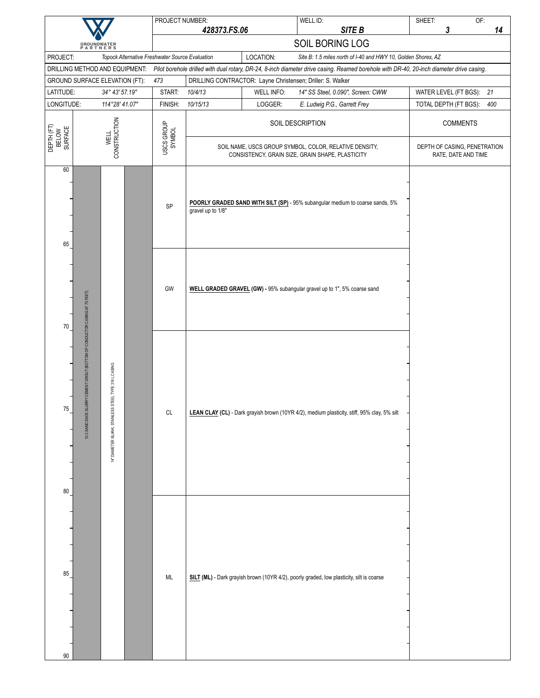|                                |                                                                                                                                                  | PROJECT NUMBER:      |                                                                                                            |                   | WELL ID:<br>SITE B                                                                                                                                                      | SHEET:                                              | OF:<br>14 |
|--------------------------------|--------------------------------------------------------------------------------------------------------------------------------------------------|----------------------|------------------------------------------------------------------------------------------------------------|-------------------|-------------------------------------------------------------------------------------------------------------------------------------------------------------------------|-----------------------------------------------------|-----------|
|                                |                                                                                                                                                  |                      | 428373.FS.06                                                                                               |                   | SOIL BORING LOG                                                                                                                                                         | 3                                                   |           |
| PROJECT:                       | <b>GROUNDWATER</b><br>PARTNERS<br>Topock Alternative Freshwater Source Evaluation                                                                |                      |                                                                                                            | LOCATION:         | Site B: 1.5 miles north of I-40 and HWY 10, Golden Shores, AZ                                                                                                           |                                                     |           |
|                                |                                                                                                                                                  |                      |                                                                                                            |                   | DRILLING METHOD AND EQUIPMENT: Pilot borehole drilled with dual rotary, DR-24, 8-inch diameter drive casing. Reamed borehole with DR-40, 20-inch diameter drive casing. |                                                     |           |
|                                | GROUND SURFACE ELEVATION (FT):                                                                                                                   | 473                  |                                                                                                            |                   | DRILLING CONTRACTOR: Layne Christensen; Driller: S. Walker                                                                                                              |                                                     |           |
| LATITUDE:                      | 34° 43' 57.19"                                                                                                                                   | START:               | 10/4/13                                                                                                    | <b>WELL INFO:</b> | 14" SS Steel, 0.090", Screen: CWW                                                                                                                                       | WATER LEVEL (FT BGS): 21                            |           |
| LONGITUDE:                     | 114°28' 41.07"                                                                                                                                   | FINISH:              | 10/15/13                                                                                                   | LOGGER:           | E. Ludwig P.G., Garrett Frey                                                                                                                                            | TOTAL DEPTH (FT BGS):                               | 400       |
| DEPTH (FT)<br>BELOW<br>SURFACE | <b>CONSTRUCTION</b><br><b>WELL</b>                                                                                                               | USCS GROUP<br>SYMBOL |                                                                                                            |                   | SOIL DESCRIPTION                                                                                                                                                        | <b>COMMENTS</b>                                     |           |
|                                |                                                                                                                                                  |                      | SOIL NAME, USCS GROUP SYMBOL, COLOR, RELATIVE DENSITY,<br>CONSISTENCY, GRAIN SIZE, GRAIN SHAPE, PLASTICITY |                   |                                                                                                                                                                         | DEPTH OF CASING, PENETRATION<br>RATE, DATE AND TIME |           |
| 60<br>65                       |                                                                                                                                                  | SP                   | gravel up to 1/8"                                                                                          |                   | POORLY GRADED SAND WITH SILT (SP) - 95% subangular medium to coarse sands, 5%                                                                                           |                                                     |           |
| 70                             |                                                                                                                                                  | GW                   |                                                                                                            |                   | WELL GRADED GRAVEL (GW) - 95% subangular gravel up to 1", 5% coarse sand                                                                                                |                                                     |           |
| 75<br>$80\,$                   | 10.3 SAND SACK SLURRY CEMENT GROUT (BOTTOM OF CONDUCTOR CASING AT 75 FEET)<br>STEEL TYPE 316 L CASING<br><b>STAINLESS</b><br>14" DIAMETER BLANK, | CL                   |                                                                                                            |                   | LEAN CLAY (CL) - Dark grayish brown (10YR 4/2), medium plasticity, stiff, 95% clay, 5% silt                                                                             |                                                     |           |
| 85<br>90                       |                                                                                                                                                  | ML                   |                                                                                                            |                   | SILT (ML) - Dark grayish brown (10YR 4/2), poorly graded, low plasticity, silt is coarse                                                                                |                                                     |           |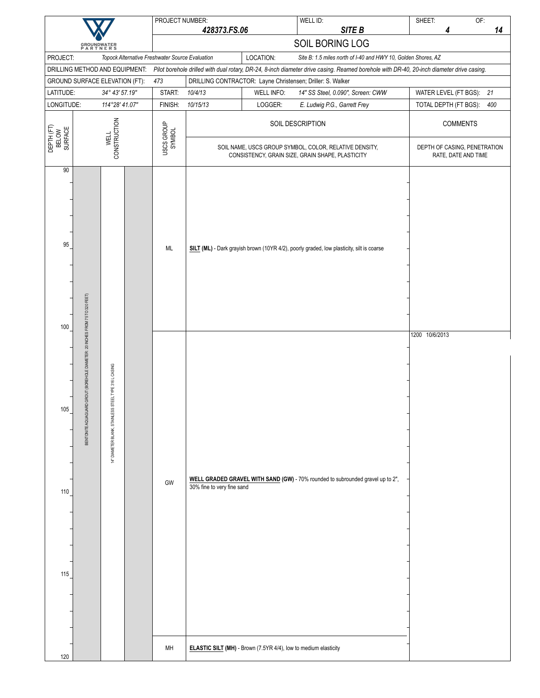|                                |                                                                              |                                                       | PROJECT NUMBER:                                 |                                                                                                                                                                                                                        |                   | WELL ID:                                                                                                   | SHEET:                                              | OF: |
|--------------------------------|------------------------------------------------------------------------------|-------------------------------------------------------|-------------------------------------------------|------------------------------------------------------------------------------------------------------------------------------------------------------------------------------------------------------------------------|-------------------|------------------------------------------------------------------------------------------------------------|-----------------------------------------------------|-----|
|                                | <b>GROUNDWATER</b><br>PARTNERS                                               |                                                       |                                                 | 428373.FS.06                                                                                                                                                                                                           |                   | SITE B                                                                                                     | 4                                                   | 14  |
|                                |                                                                              |                                                       |                                                 |                                                                                                                                                                                                                        |                   | SOIL BORING LOG                                                                                            |                                                     |     |
| PROJECT:                       |                                                                              |                                                       | Topock Alternative Freshwater Source Evaluation | LOCATION:<br>Site B: 1.5 miles north of I-40 and HWY 10, Golden Shores, AZ<br>Pilot borehole drilled with dual rotary, DR-24, 8-inch diameter drive casing. Reamed borehole with DR-40, 20-inch diameter drive casing. |                   |                                                                                                            |                                                     |     |
|                                | DRILLING METHOD AND EQUIPMENT:                                               |                                                       |                                                 |                                                                                                                                                                                                                        |                   |                                                                                                            |                                                     |     |
| LATITUDE:                      | GROUND SURFACE ELEVATION (FT):                                               | 34° 43' 57.19"                                        | 473<br>START:                                   | 10/4/13                                                                                                                                                                                                                | <b>WELL INFO:</b> | DRILLING CONTRACTOR: Layne Christensen; Driller: S. Walker<br>14" SS Steel, 0.090", Screen: CWW            | WATER LEVEL (FT BGS): 21                            |     |
| LONGITUDE:                     |                                                                              | 114°28' 41.07"                                        | FINISH:                                         | 10/15/13                                                                                                                                                                                                               | LOGGER:           | E. Ludwig P.G., Garrett Frey                                                                               | TOTAL DEPTH (FT BGS):                               | 400 |
|                                |                                                                              |                                                       |                                                 |                                                                                                                                                                                                                        |                   |                                                                                                            |                                                     |     |
| DEPTH (FT)<br>BELOW<br>SURFACE |                                                                              | <b>CONSTRUCTION</b><br><b>WELL</b>                    | USCS GROUP<br>SYMBOL                            | SOIL DESCRIPTION                                                                                                                                                                                                       |                   |                                                                                                            | <b>COMMENTS</b>                                     |     |
|                                |                                                                              |                                                       |                                                 |                                                                                                                                                                                                                        |                   | SOIL NAME, USCS GROUP SYMBOL, COLOR, RELATIVE DENSITY,<br>CONSISTENCY, GRAIN SIZE, GRAIN SHAPE, PLASTICITY | DEPTH OF CASING, PENETRATION<br>RATE, DATE AND TIME |     |
| 90<br>95<br>100                |                                                                              |                                                       | ML                                              |                                                                                                                                                                                                                        |                   | SILT (ML) - Dark grayish brown (10YR 4/2), poorly graded, low plasticity, silt is coarse                   | 1200 10/6/2013                                      |     |
| 105<br>110<br>115              | BENTONITE AQUAGUARD GROUT (BOREHOLE DIAMETER: 20 INCHES FROM 75 TO 320 FEET) | 14" DIAMETER BLANK, STAINLESS STEEL TYPE 316 L CASING | GW                                              | 30% fine to very fine sand                                                                                                                                                                                             |                   | WELL GRADED GRAVEL WITH SAND (GW) - 70% rounded to subrounded gravel up to 2",                             |                                                     |     |
| 120                            |                                                                              |                                                       | MH                                              | <b>ELASTIC SILT (MH)</b> - Brown (7.5YR 4/4), low to medium elasticity                                                                                                                                                 |                   |                                                                                                            |                                                     |     |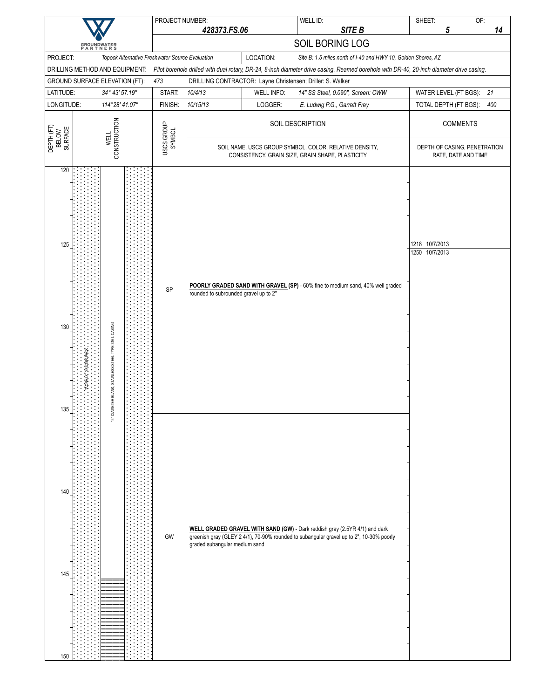|                                |                                |                                                              |  | PROJECT NUMBER:                                 |                                                                                                                                           |                   | WELL ID:                                                                                                                                                                                                  | SHEET:          |                                                     | OF: |
|--------------------------------|--------------------------------|--------------------------------------------------------------|--|-------------------------------------------------|-------------------------------------------------------------------------------------------------------------------------------------------|-------------------|-----------------------------------------------------------------------------------------------------------------------------------------------------------------------------------------------------------|-----------------|-----------------------------------------------------|-----|
|                                |                                |                                                              |  |                                                 | 428373.FS.06                                                                                                                              |                   | SITE B                                                                                                                                                                                                    |                 | 5                                                   | 14  |
|                                | <b>GROUNDWATER</b><br>PARTNERS |                                                              |  |                                                 |                                                                                                                                           |                   | SOIL BORING LOG                                                                                                                                                                                           |                 |                                                     |     |
| PROJECT:                       | DRILLING METHOD AND EQUIPMENT: |                                                              |  | Topock Alternative Freshwater Source Evaluation |                                                                                                                                           | LOCATION:         | Site B: 1.5 miles north of I-40 and HWY 10, Golden Shores, AZ<br>Pilot borehole drilled with dual rotary, DR-24, 8-inch diameter drive casing. Reamed borehole with DR-40, 20-inch diameter drive casing. |                 |                                                     |     |
|                                | GROUND SURFACE ELEVATION (FT): |                                                              |  | 473                                             |                                                                                                                                           |                   | DRILLING CONTRACTOR: Layne Christensen; Driller: S. Walker                                                                                                                                                |                 |                                                     |     |
| LATITUDE:                      |                                | 34° 43' 57.19"                                               |  | START:                                          | 10/4/13                                                                                                                                   | <b>WELL INFO:</b> | 14" SS Steel, 0.090", Screen: CWW                                                                                                                                                                         |                 | WATER LEVEL (FT BGS): 21                            |     |
| LONGITUDE:                     |                                | 114°28' 41.07"                                               |  | FINISH:                                         | 10/15/13                                                                                                                                  | LOGGER:           | E. Ludwig P.G., Garrett Frey                                                                                                                                                                              |                 | TOTAL DEPTH (FT BGS):                               | 400 |
|                                |                                |                                                              |  | USCS GROUP<br>SYMBOL                            | SOIL DESCRIPTION                                                                                                                          |                   |                                                                                                                                                                                                           | <b>COMMENTS</b> |                                                     |     |
| DEPTH (FT)<br>BELOW<br>SURFACE |                                | CONSTRUCTION<br><b>WELL</b>                                  |  |                                                 | SOIL NAME, USCS GROUP SYMBOL, COLOR, RELATIVE DENSITY,<br>CONSISTENCY, GRAIN SIZE, GRAIN SHAPE, PLASTICITY                                |                   |                                                                                                                                                                                                           |                 | DEPTH OF CASING, PENETRATION<br>RATE, DATE AND TIME |     |
| 120<br>125                     |                                |                                                              |  |                                                 |                                                                                                                                           |                   |                                                                                                                                                                                                           | 1218 10/7/2013  |                                                     |     |
| 130                            |                                | SP                                                           |  |                                                 | 1250 10/7/2013<br>POORLY GRADED SAND WITH GRAVEL (SP) - 60% fine to medium sand, 40% well graded<br>rounded to subrounded gravel up to 2" |                   |                                                                                                                                                                                                           |                 |                                                     |     |
| 135                            | 4X10 FLIER PA                  | STAINLESS STEEL TYPE 316 L CASING<br>ETER BLANK,<br>14" DIAM |  |                                                 |                                                                                                                                           |                   |                                                                                                                                                                                                           |                 |                                                     |     |
| 140<br>145                     |                                |                                                              |  | GW                                              | graded subangular medium sand                                                                                                             |                   | WELL GRADED GRAVEL WITH SAND (GW) - Dark reddish gray (2.5YR 4/1) and dark<br>greenish gray (GLEY 2 4/1), 70-90% rounded to subangular gravel up to 2", 10-30% poorly                                     |                 |                                                     |     |
| 150                            |                                |                                                              |  |                                                 |                                                                                                                                           |                   |                                                                                                                                                                                                           |                 |                                                     |     |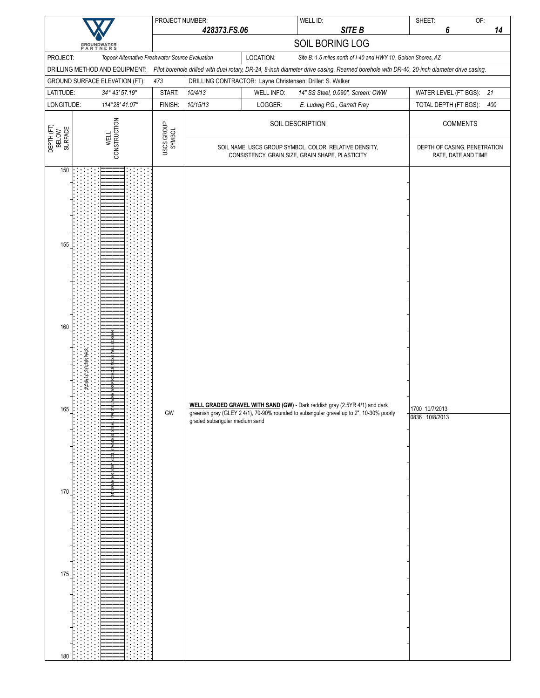|                                                                                               | PROJECT NUMBER:      |                               |            | WELL ID:                                                                                                                                                                                                  | SHEET:                           | OF:                                                 |
|-----------------------------------------------------------------------------------------------|----------------------|-------------------------------|------------|-----------------------------------------------------------------------------------------------------------------------------------------------------------------------------------------------------------|----------------------------------|-----------------------------------------------------|
|                                                                                               |                      | 428373.FS.06                  |            | SITE B                                                                                                                                                                                                    | 6                                | 14                                                  |
| <b>GROUNDWATER</b><br>PARTNERS                                                                |                      |                               |            | SOIL BORING LOG                                                                                                                                                                                           |                                  |                                                     |
| PROJECT:<br>Topock Alternative Freshwater Source Evaluation<br>DRILLING METHOD AND EQUIPMENT: |                      |                               | LOCATION:  | Site B: 1.5 miles north of I-40 and HWY 10, Golden Shores, AZ<br>Pilot borehole drilled with dual rotary, DR-24, 8-inch diameter drive casing. Reamed borehole with DR-40, 20-inch diameter drive casing. |                                  |                                                     |
| GROUND SURFACE ELEVATION (FT):                                                                | 473                  |                               |            | DRILLING CONTRACTOR: Layne Christensen; Driller: S. Walker                                                                                                                                                |                                  |                                                     |
| LATITUDE:<br>34° 43' 57.19"                                                                   | START:               | 10/4/13                       | WELL INFO: | 14" SS Steel, 0.090", Screen: CWW                                                                                                                                                                         | WATER LEVEL (FT BGS):            | 21                                                  |
| LONGITUDE:<br>114°28' 41.07"                                                                  | FINISH:              | 10/15/13                      | LOGGER:    | E. Ludwig P.G., Garrett Frey                                                                                                                                                                              | TOTAL DEPTH (FT BGS):            | 400                                                 |
| CONSTRUCTION<br>DEPTH (FT)<br>BELOW<br>SURFACE<br><b>WELL</b>                                 | USCS GROUP<br>SYMBOL |                               |            | SOIL DESCRIPTION                                                                                                                                                                                          |                                  | <b>COMMENTS</b>                                     |
|                                                                                               |                      |                               |            | SOIL NAME, USCS GROUP SYMBOL, COLOR, RELATIVE DENSITY,<br>CONSISTENCY, GRAIN SIZE, GRAIN SHAPE, PLASTICITY                                                                                                |                                  | DEPTH OF CASING, PENETRATION<br>RATE, DATE AND TIME |
| 150<br>155<br>160<br><b>A4X10 FILTER PACK</b><br>165<br>170<br>175<br>180                     | GW                   | graded subangular medium sand |            | WELL GRADED GRAVEL WITH SAND (GW) - Dark reddish gray (2.5YR 4/1) and dark<br>greenish gray (GLEY 2 4/1), 70-90% rounded to subangular gravel up to 2", 10-30% poorly                                     | 1700 10/7/2013<br>0836 10/8/2013 |                                                     |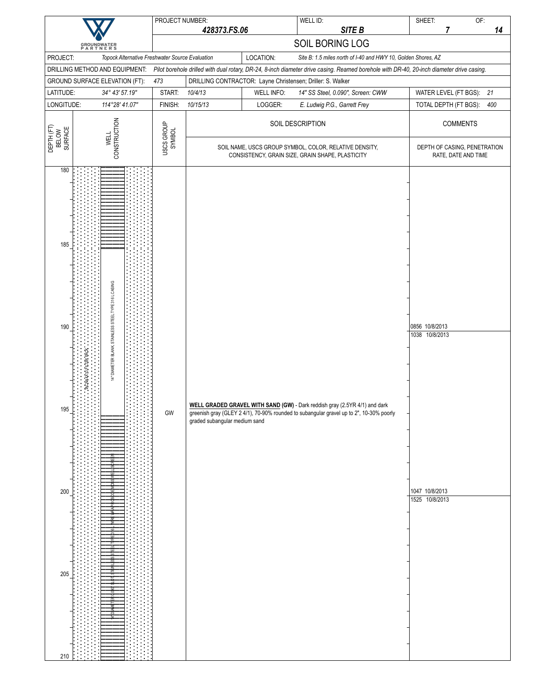|                                               |                                                                    | PROJECT NUMBER:      |                               |                              | WELL ID:                                                                                                                                                              | SHEET:                                                               |                                                   | OF: |
|-----------------------------------------------|--------------------------------------------------------------------|----------------------|-------------------------------|------------------------------|-----------------------------------------------------------------------------------------------------------------------------------------------------------------------|----------------------------------------------------------------------|---------------------------------------------------|-----|
|                                               |                                                                    |                      | 428373.FS.06                  |                              | SITE B                                                                                                                                                                |                                                                      | 7                                                 | 14  |
|                                               | <b>GROUNDWATER</b><br>PARTNERS                                     |                      |                               |                              | SOIL BORING LOG                                                                                                                                                       |                                                                      |                                                   |     |
| PROJECT:                                      | Topock Alternative Freshwater Source Evaluation                    |                      |                               | LOCATION:                    | Site B: 1.5 miles north of I-40 and HWY 10, Golden Shores, AZ                                                                                                         |                                                                      |                                                   |     |
|                                               | DRILLING METHOD AND EQUIPMENT:                                     |                      |                               |                              | Pilot borehole drilled with dual rotary, DR-24, 8-inch diameter drive casing. Reamed borehole with DR-40, 20-inch diameter drive casing.                              |                                                                      |                                                   |     |
|                                               | GROUND SURFACE ELEVATION (FT):                                     | 473                  |                               |                              | DRILLING CONTRACTOR: Layne Christensen; Driller: S. Walker                                                                                                            |                                                                      |                                                   |     |
| LATITUDE:<br>LONGITUDE:                       | 34° 43' 57.19"<br>114°28' 41.07"                                   | START:<br>FINISH:    | 10/4/13<br>10/15/13           | <b>WELL INFO:</b><br>LOGGER: | 14" SS Steel, 0.090", Screen: CWW<br>E. Ludwig P.G., Garrett Frey                                                                                                     |                                                                      | WATER LEVEL (FT BGS): 21<br>TOTAL DEPTH (FT BGS): | 400 |
|                                               |                                                                    |                      |                               |                              |                                                                                                                                                                       |                                                                      |                                                   |     |
| DEPTH (FT)<br>BELOW<br>SURFACE                | CONSTRUCTION<br><b>WELL</b>                                        | USCS GROUP<br>SYMBOL |                               |                              | SOIL DESCRIPTION<br>SOIL NAME, USCS GROUP SYMBOL, COLOR, RELATIVE DENSITY,                                                                                            |                                                                      | <b>COMMENTS</b><br>DEPTH OF CASING, PENETRATION   |     |
|                                               |                                                                    |                      |                               |                              | CONSISTENCY, GRAIN SIZE, GRAIN SHAPE, PLASTICITY                                                                                                                      |                                                                      | RATE, DATE AND TIME                               |     |
| 180<br>185<br>190<br>195<br>200<br>205<br>210 | 14" DIAMETER BLANK, STAINLESS STEEL TYPE 316 L CASING<br>10 FILTER | GW                   | graded subangular medium sand |                              | WELL GRADED GRAVEL WITH SAND (GW) - Dark reddish gray (2.5YR 4/1) and dark<br>greenish gray (GLEY 2 4/1), 70-90% rounded to subangular gravel up to 2", 10-30% poorly | 0856 10/8/2013<br>1038 10/8/2013<br>1047 10/8/2013<br>1525 10/8/2013 |                                                   |     |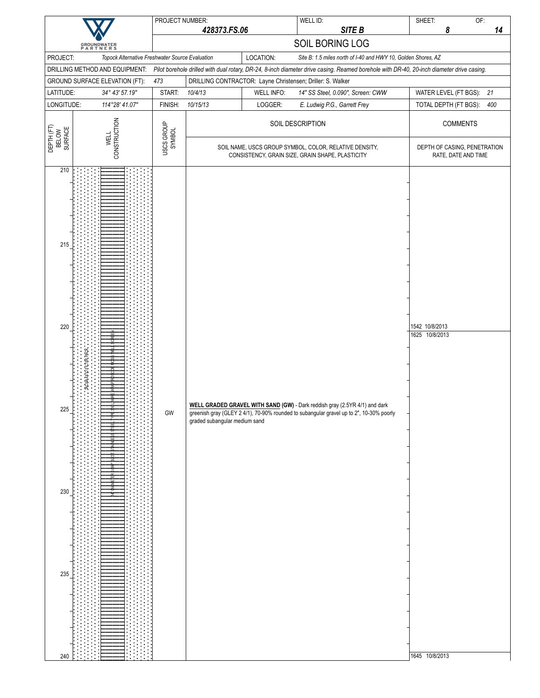|                                               |                                                                                   | PROJECT NUMBER:      |                                                                                                            |                   | WELL ID:                                                                                                                                                              | OF:<br>SHEET:                                                                                                                            |
|-----------------------------------------------|-----------------------------------------------------------------------------------|----------------------|------------------------------------------------------------------------------------------------------------|-------------------|-----------------------------------------------------------------------------------------------------------------------------------------------------------------------|------------------------------------------------------------------------------------------------------------------------------------------|
|                                               |                                                                                   |                      | 428373.FS.06                                                                                               |                   | SITE B<br>SOIL BORING LOG                                                                                                                                             | 8<br>14                                                                                                                                  |
| PROJECT:                                      | <b>GROUNDWATER</b><br>PARTNERS<br>Topock Alternative Freshwater Source Evaluation |                      |                                                                                                            | LOCATION:         | Site B: 1.5 miles north of I-40 and HWY 10, Golden Shores, AZ                                                                                                         |                                                                                                                                          |
|                                               | DRILLING METHOD AND EQUIPMENT:                                                    |                      |                                                                                                            |                   |                                                                                                                                                                       | Pilot borehole drilled with dual rotary, DR-24, 8-inch diameter drive casing. Reamed borehole with DR-40, 20-inch diameter drive casing. |
|                                               | GROUND SURFACE ELEVATION (FT):                                                    | 473                  |                                                                                                            |                   | DRILLING CONTRACTOR: Layne Christensen; Driller: S. Walker                                                                                                            |                                                                                                                                          |
| LATITUDE:                                     | 34° 43' 57.19"                                                                    | START:               | 10/4/13                                                                                                    | <b>WELL INFO:</b> | 14" SS Steel, 0.090", Screen: CWW                                                                                                                                     | WATER LEVEL (FT BGS):<br>21                                                                                                              |
| LONGITUDE:                                    | 114°28' 41.07"                                                                    | FINISH:              | 10/15/13                                                                                                   | LOGGER:           | E. Ludwig P.G., Garrett Frey                                                                                                                                          | TOTAL DEPTH (FT BGS):<br>400                                                                                                             |
| DEPTH (FT)<br>BELOW<br>SURFACE                | CONSTRUCTION<br><b>WELL</b>                                                       | USCS GROUP<br>SYMBOL |                                                                                                            |                   | SOIL DESCRIPTION                                                                                                                                                      | <b>COMMENTS</b>                                                                                                                          |
|                                               |                                                                                   |                      | SOIL NAME, USCS GROUP SYMBOL, COLOR, RELATIVE DENSITY,<br>CONSISTENCY, GRAIN SIZE, GRAIN SHAPE, PLASTICITY |                   |                                                                                                                                                                       | DEPTH OF CASING, PENETRATION<br>RATE, DATE AND TIME                                                                                      |
| 210<br>215<br>220<br>225<br>230<br>235<br>240 | ACNA4X10 FILTER PACK                                                              | GW                   | graded subangular medium sand                                                                              |                   | WELL GRADED GRAVEL WITH SAND (GW) - Dark reddish gray (2.5YR 4/1) and dark<br>greenish gray (GLEY 2 4/1), 70-90% rounded to subangular gravel up to 2", 10-30% poorly | 1542 10/8/2013<br>1625 10/8/2013<br>1645 10/8/2013                                                                                       |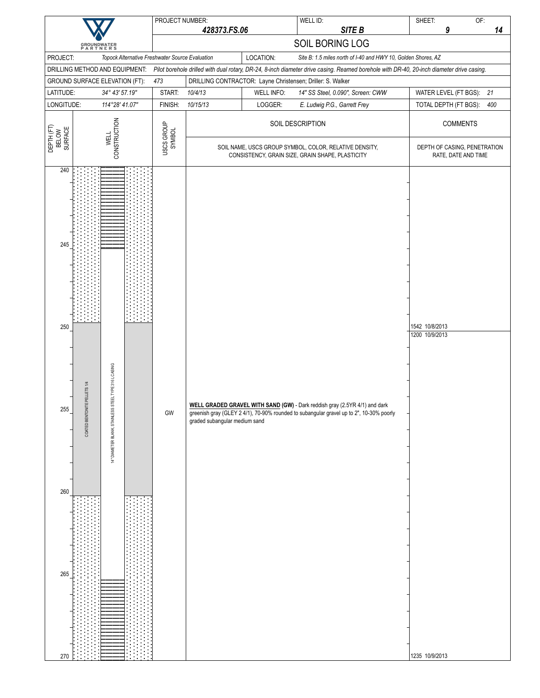|                                                                                                                                           | PROJECT NUMBER:      |                               |            | WELL ID:                                                                                                                                                                                                  | SHEET:                                             | OF:                                                 |  |
|-------------------------------------------------------------------------------------------------------------------------------------------|----------------------|-------------------------------|------------|-----------------------------------------------------------------------------------------------------------------------------------------------------------------------------------------------------------|----------------------------------------------------|-----------------------------------------------------|--|
|                                                                                                                                           |                      | 428373.FS.06                  |            | SITE B                                                                                                                                                                                                    | 9                                                  | 14                                                  |  |
| <b>GROUNDWATER</b><br>PARTNERS                                                                                                            |                      |                               |            | SOIL BORING LOG                                                                                                                                                                                           |                                                    |                                                     |  |
| PROJECT:<br>Topock Alternative Freshwater Source Evaluation<br>DRILLING METHOD AND EQUIPMENT:                                             |                      |                               | LOCATION:  | Site B: 1.5 miles north of I-40 and HWY 10, Golden Shores, AZ<br>Pilot borehole drilled with dual rotary, DR-24, 8-inch diameter drive casing. Reamed borehole with DR-40, 20-inch diameter drive casing. |                                                    |                                                     |  |
| GROUND SURFACE ELEVATION (FT):                                                                                                            | 473                  |                               |            | DRILLING CONTRACTOR: Layne Christensen; Driller: S. Walker                                                                                                                                                |                                                    |                                                     |  |
| LATITUDE:<br>34° 43' 57.19"                                                                                                               | START:               | 10/4/13                       | WELL INFO: | 14" SS Steel, 0.090", Screen: CWW                                                                                                                                                                         | WATER LEVEL (FT BGS):                              | 21                                                  |  |
| LONGITUDE:<br>114°28' 41.07"                                                                                                              | FINISH:              | 10/15/13                      | LOGGER:    | E. Ludwig P.G., Garrett Frey                                                                                                                                                                              | TOTAL DEPTH (FT BGS):                              | 400                                                 |  |
| CONSTRUCTION<br><b>WELL</b>                                                                                                               | USCS GROUP<br>SYMBOL |                               |            | SOIL DESCRIPTION                                                                                                                                                                                          | <b>COMMENTS</b>                                    |                                                     |  |
| DEPTH (FT)<br>BELOW<br>SURFACE                                                                                                            |                      |                               |            | SOIL NAME, USCS GROUP SYMBOL, COLOR, RELATIVE DENSITY,<br>CONSISTENCY, GRAIN SIZE, GRAIN SHAPE, PLASTICITY                                                                                                |                                                    | DEPTH OF CASING, PENETRATION<br>RATE, DATE AND TIME |  |
| 240<br>245<br>250<br>STEEL TYPE 316 L CASING<br>COATED BENTONITE PELLETS 1/4<br>255<br>14" DIAMETER BLANK, STAINLESS<br>260<br>265<br>270 | GW                   | graded subangular medium sand |            | WELL GRADED GRAVEL WITH SAND (GW) - Dark reddish gray (2.5YR 4/1) and dark<br>greenish gray (GLEY 2 4/1), 70-90% rounded to subangular gravel up to 2", 10-30% poorly                                     | 1542 10/8/2013<br>1200 10/9/2013<br>1235 10/9/2013 |                                                     |  |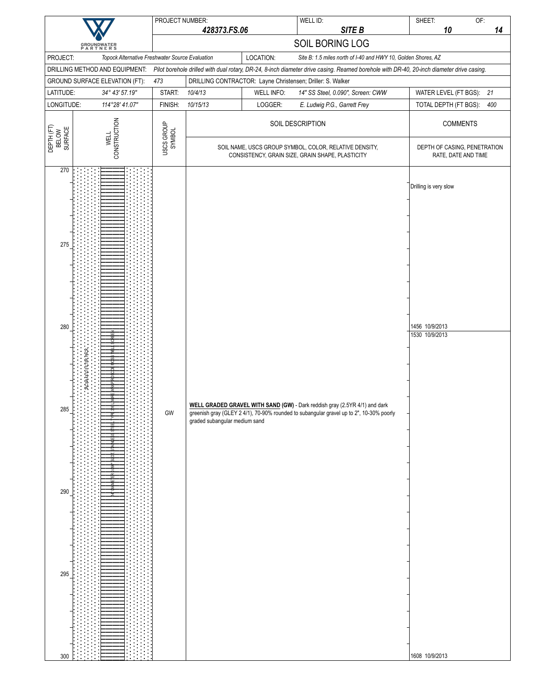| 428373.FS.06<br>SOIL BORING LOG<br><b>GROUNDWATER</b><br>PARTNERS<br>LOCATION:<br>PROJECT:<br>Topock Alternative Freshwater Source Evaluation<br>Site B: 1.5 miles north of I-40 and HWY 10, Golden Shores, AZ<br>DRILLING METHOD AND EQUIPMENT:<br>Pilot borehole drilled with dual rotary, DR-24, 8-inch diameter drive casing. Reamed borehole with DR-40, 20-inch diameter drive casing.<br>GROUND SURFACE ELEVATION (FT):<br>473<br>DRILLING CONTRACTOR: Layne Christensen; Driller: S. Walker<br>LATITUDE:<br>START:<br>10/4/13<br><b>WELL INFO:</b><br>21<br>34° 43' 57.19"<br>14" SS Steel, 0.090", Screen: CWW<br>WATER LEVEL (FT BGS):<br>10/15/13<br>LOGGER:<br>400<br>LONGITUDE:<br>114°28' 41.07"<br>FINISH:<br>E. Ludwig P.G., Garrett Frey<br>TOTAL DEPTH (FT BGS):<br>CONSTRUCTION<br>SOIL DESCRIPTION<br><b>COMMENTS</b><br>USCS GROUP<br>SYMBOL<br>DEPTH (FT)<br>BELOW<br>SURFACE<br><b>WELL</b><br>SOIL NAME, USCS GROUP SYMBOL, COLOR, RELATIVE DENSITY,<br>CONSISTENCY, GRAIN SIZE, GRAIN SHAPE, PLASTICITY<br>RATE, DATE AND TIME<br>270<br>Drilling is very slow | PROJECT NUMBER: | WELL ID: | OF:<br>SHEET:                |
|-----------------------------------------------------------------------------------------------------------------------------------------------------------------------------------------------------------------------------------------------------------------------------------------------------------------------------------------------------------------------------------------------------------------------------------------------------------------------------------------------------------------------------------------------------------------------------------------------------------------------------------------------------------------------------------------------------------------------------------------------------------------------------------------------------------------------------------------------------------------------------------------------------------------------------------------------------------------------------------------------------------------------------------------------------------------------------------------|-----------------|----------|------------------------------|
|                                                                                                                                                                                                                                                                                                                                                                                                                                                                                                                                                                                                                                                                                                                                                                                                                                                                                                                                                                                                                                                                                         |                 | SITE B   | 10<br>14                     |
|                                                                                                                                                                                                                                                                                                                                                                                                                                                                                                                                                                                                                                                                                                                                                                                                                                                                                                                                                                                                                                                                                         |                 |          |                              |
|                                                                                                                                                                                                                                                                                                                                                                                                                                                                                                                                                                                                                                                                                                                                                                                                                                                                                                                                                                                                                                                                                         |                 |          |                              |
|                                                                                                                                                                                                                                                                                                                                                                                                                                                                                                                                                                                                                                                                                                                                                                                                                                                                                                                                                                                                                                                                                         |                 |          |                              |
|                                                                                                                                                                                                                                                                                                                                                                                                                                                                                                                                                                                                                                                                                                                                                                                                                                                                                                                                                                                                                                                                                         |                 |          |                              |
|                                                                                                                                                                                                                                                                                                                                                                                                                                                                                                                                                                                                                                                                                                                                                                                                                                                                                                                                                                                                                                                                                         |                 |          |                              |
|                                                                                                                                                                                                                                                                                                                                                                                                                                                                                                                                                                                                                                                                                                                                                                                                                                                                                                                                                                                                                                                                                         |                 |          |                              |
|                                                                                                                                                                                                                                                                                                                                                                                                                                                                                                                                                                                                                                                                                                                                                                                                                                                                                                                                                                                                                                                                                         |                 |          | DEPTH OF CASING, PENETRATION |
| 275<br>280<br>1456 10/9/2013<br>1530 10/9/2013<br>ACNA4X10 FILTER PACK<br>WELL GRADED GRAVEL WITH SAND (GW) - Dark reddish gray (2.5YR 4/1) and dark<br>285<br>GW<br>greenish gray (GLEY 2 4/1), 70-90% rounded to subangular gravel up to 2", 10-30% poorly<br>graded subangular medium sand<br>290<br>295                                                                                                                                                                                                                                                                                                                                                                                                                                                                                                                                                                                                                                                                                                                                                                             |                 |          |                              |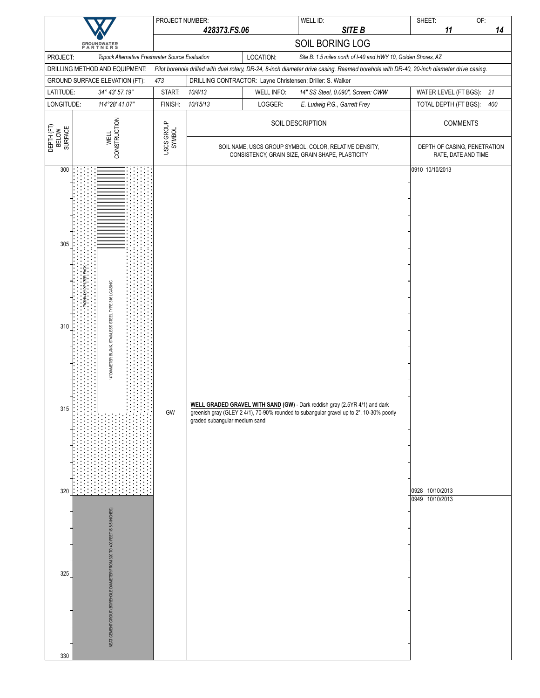|                                               |                                                                                                                                   | PROJECT NUMBER:      |                                                                                                            |                   | WELL ID:                                                                                                                                                                                                  | SHEET:                                                | OF: |
|-----------------------------------------------|-----------------------------------------------------------------------------------------------------------------------------------|----------------------|------------------------------------------------------------------------------------------------------------|-------------------|-----------------------------------------------------------------------------------------------------------------------------------------------------------------------------------------------------------|-------------------------------------------------------|-----|
|                                               |                                                                                                                                   |                      | 428373.FS.06                                                                                               |                   | SITE B                                                                                                                                                                                                    | 11                                                    | 14  |
|                                               | <b>GROUNDWATER</b><br>PARTNERS                                                                                                    |                      |                                                                                                            |                   | SOIL BORING LOG                                                                                                                                                                                           |                                                       |     |
| PROJECT:                                      | Topock Alternative Freshwater Source Evaluation<br>DRILLING METHOD AND EQUIPMENT:                                                 |                      |                                                                                                            | LOCATION:         | Site B: 1.5 miles north of I-40 and HWY 10, Golden Shores, AZ<br>Pilot borehole drilled with dual rotary, DR-24, 8-inch diameter drive casing. Reamed borehole with DR-40, 20-inch diameter drive casing. |                                                       |     |
|                                               | GROUND SURFACE ELEVATION (FT):                                                                                                    | 473                  |                                                                                                            |                   | DRILLING CONTRACTOR: Layne Christensen; Driller: S. Walker                                                                                                                                                |                                                       |     |
| LATITUDE:                                     | 34° 43' 57.19"                                                                                                                    | START:               | 10/4/13                                                                                                    | <b>WELL INFO:</b> | 14" SS Steel, 0.090", Screen: CWW                                                                                                                                                                         | WATER LEVEL (FT BGS): 21                              |     |
| LONGITUDE:                                    | 114°28' 41.07"                                                                                                                    | FINISH:              | 10/15/13                                                                                                   | LOGGER:           | E. Ludwig P.G., Garrett Frey                                                                                                                                                                              | TOTAL DEPTH (FT BGS):                                 | 400 |
|                                               |                                                                                                                                   |                      |                                                                                                            |                   | SOIL DESCRIPTION                                                                                                                                                                                          | <b>COMMENTS</b>                                       |     |
| DEPTH (FT)<br>BELOW<br>SURFACE                | CONSTRUCTION                                                                                                                      | USCS GROUP<br>SYMBOL | SOIL NAME, USCS GROUP SYMBOL, COLOR, RELATIVE DENSITY,<br>CONSISTENCY, GRAIN SIZE, GRAIN SHAPE, PLASTICITY |                   |                                                                                                                                                                                                           | DEPTH OF CASING, PENETRATION<br>RATE, DATE AND TIME   |     |
| 300<br>305<br>310<br>315<br>320<br>325<br>330 | 14" DIAMETER BLANK, STAINLESS STEEL TYPE 316 L CASING<br>NEAT CEMENT GROUT (BOREHOLE DIAMETER FROM 320 TO 400 FEET IS 8.5 INCHES) | GW                   | graded subangular medium sand                                                                              |                   | WELL GRADED GRAVEL WITH SAND (GW) - Dark reddish gray (2.5YR 4/1) and dark<br>greenish gray (GLEY 2 4/1), 70-90% rounded to subangular gravel up to 2", 10-30% poorly                                     | 0910 10/10/2013<br>0928 10/10/2013<br>0949 10/10/2013 |     |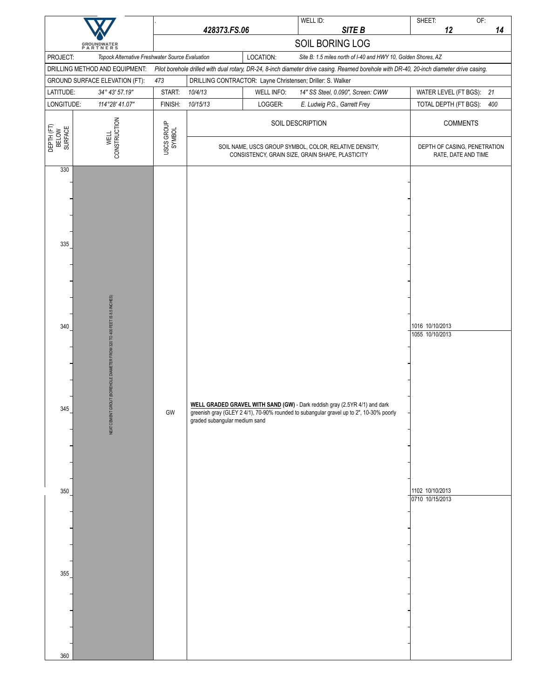|                                        |                                                                          |                      | 428373.FS.06                  |                                                                                                            | WELL ID:<br>SITE B                                                                                                                                                    | SHEET:<br>12                                                             | OF:<br>14                                           |
|----------------------------------------|--------------------------------------------------------------------------|----------------------|-------------------------------|------------------------------------------------------------------------------------------------------------|-----------------------------------------------------------------------------------------------------------------------------------------------------------------------|--------------------------------------------------------------------------|-----------------------------------------------------|
|                                        | <b>GROUNDWATER</b><br>PARTNERS                                           |                      |                               |                                                                                                            | SOIL BORING LOG                                                                                                                                                       |                                                                          |                                                     |
| PROJECT:                               | Topock Alternative Freshwater Source Evaluation                          |                      |                               | LOCATION:                                                                                                  | Site B: 1.5 miles north of I-40 and HWY 10, Golden Shores, AZ                                                                                                         |                                                                          |                                                     |
|                                        | DRILLING METHOD AND EQUIPMENT:                                           |                      |                               |                                                                                                            | Pilot borehole drilled with dual rotary, DR-24, 8-inch diameter drive casing. Reamed borehole with DR-40, 20-inch diameter drive casing.                              |                                                                          |                                                     |
|                                        | GROUND SURFACE ELEVATION (FT):                                           | 473                  |                               |                                                                                                            | DRILLING CONTRACTOR: Layne Christensen; Driller: S. Walker                                                                                                            |                                                                          |                                                     |
| LATITUDE:                              | 34° 43' 57.19"                                                           | START:               | 10/4/13                       | <b>WELL INFO:</b>                                                                                          | 14" SS Steel, 0.090", Screen: CWW                                                                                                                                     | WATER LEVEL (FT BGS):                                                    | 21                                                  |
| LONGITUDE:                             | 114°28' 41.07"                                                           | FINISH:              | 10/15/13                      | LOGGER:                                                                                                    | E. Ludwig P.G., Garrett Frey                                                                                                                                          | TOTAL DEPTH (FT BGS):                                                    | 400                                                 |
| DEPTH (FT)<br>BELOW<br>SURFACE         | CONSTRUCTION<br><b>WELL</b>                                              | USCS GROUP<br>SYMBOL |                               |                                                                                                            | SOIL DESCRIPTION                                                                                                                                                      |                                                                          | <b>COMMENTS</b>                                     |
| 330                                    |                                                                          |                      |                               | SOIL NAME, USCS GROUP SYMBOL, COLOR, RELATIVE DENSITY,<br>CONSISTENCY, GRAIN SIZE, GRAIN SHAPE, PLASTICITY |                                                                                                                                                                       |                                                                          | DEPTH OF CASING, PENETRATION<br>RATE, DATE AND TIME |
| 335<br>340<br>345<br>350<br>355<br>360 | NEAT CEMENT GROUT (BOREHOLE DIAMETER FROM 320 TO 400 FEET IS 8.5 INCHES) | $\mathsf{GW}$        | graded subangular medium sand |                                                                                                            | WELL GRADED GRAVEL WITH SAND (GW) - Dark reddish gray (2.5YR 4/1) and dark<br>greenish gray (GLEY 2 4/1), 70-90% rounded to subangular gravel up to 2", 10-30% poorly | 1016 10/10/2013<br>1055 10/10/2013<br>1102 10/10/2013<br>0710 10/15/2013 |                                                     |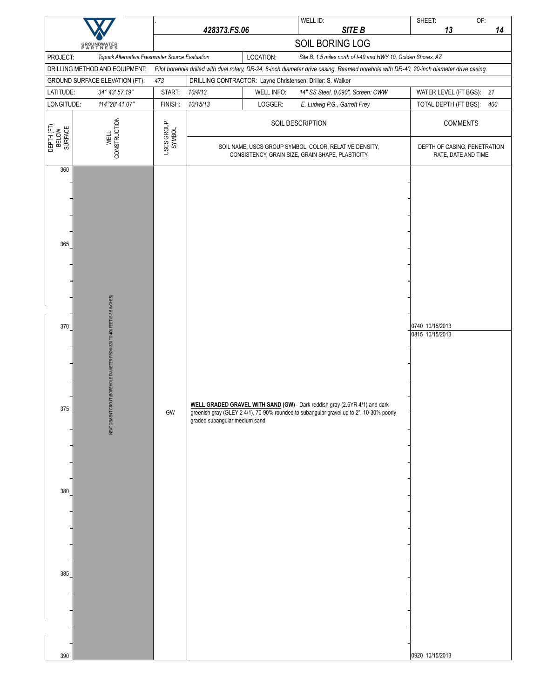|                                |                                                              |                                                                                                                               |                                                                                                                                                                                                        |            | WELL ID:                                                                                                                                 | OF:<br>SHEET:                                       |  |  |
|--------------------------------|--------------------------------------------------------------|-------------------------------------------------------------------------------------------------------------------------------|--------------------------------------------------------------------------------------------------------------------------------------------------------------------------------------------------------|------------|------------------------------------------------------------------------------------------------------------------------------------------|-----------------------------------------------------|--|--|
|                                |                                                              | 428373.FS.06                                                                                                                  |                                                                                                                                                                                                        |            | SITE B<br>SOIL BORING LOG                                                                                                                | 13<br>14                                            |  |  |
| PROJECT:                       | <b>GROUNDWATER</b><br>PARTNERS                               | LOCATION:<br>Site B: 1.5 miles north of I-40 and HWY 10, Golden Shores, AZ<br>Topock Alternative Freshwater Source Evaluation |                                                                                                                                                                                                        |            |                                                                                                                                          |                                                     |  |  |
|                                | DRILLING METHOD AND EQUIPMENT:                               |                                                                                                                               |                                                                                                                                                                                                        |            | Pilot borehole drilled with dual rotary, DR-24, 8-inch diameter drive casing. Reamed borehole with DR-40, 20-inch diameter drive casing. |                                                     |  |  |
|                                | GROUND SURFACE ELEVATION (FT):                               | 473                                                                                                                           |                                                                                                                                                                                                        |            | DRILLING CONTRACTOR: Layne Christensen; Driller: S. Walker                                                                               |                                                     |  |  |
| LATITUDE:                      | 34° 43' 57.19"                                               | START:                                                                                                                        | 10/4/13                                                                                                                                                                                                | WELL INFO: | 14" SS Steel, 0.090", Screen: CWW                                                                                                        | WATER LEVEL (FT BGS): 21                            |  |  |
| LONGITUDE:                     | 114°28' 41.07"                                               | FINISH:                                                                                                                       | 10/15/13                                                                                                                                                                                               | LOGGER:    | E. Ludwig P.G., Garrett Frey                                                                                                             | TOTAL DEPTH (FT BGS):<br>400                        |  |  |
| DEPTH (FT)<br>BELOW<br>SURFACE | VELL<br>CONSTRUCTION                                         | USCS GROUP<br>SYMBOL                                                                                                          | SOIL DESCRIPTION                                                                                                                                                                                       |            |                                                                                                                                          | <b>COMMENTS</b>                                     |  |  |
| 360                            |                                                              |                                                                                                                               | SOIL NAME, USCS GROUP SYMBOL, COLOR, RELATIVE DENSITY,<br>CONSISTENCY, GRAIN SIZE, GRAIN SHAPE, PLASTICITY                                                                                             |            |                                                                                                                                          | DEPTH OF CASING, PENETRATION<br>RATE, DATE AND TIME |  |  |
| 365                            |                                                              | GW                                                                                                                            |                                                                                                                                                                                                        |            |                                                                                                                                          |                                                     |  |  |
| 370                            | GROUT (BOREHOLE DIAMETER FROM 320 TO 400 FEET IS 8.5 INCHES) |                                                                                                                               |                                                                                                                                                                                                        |            |                                                                                                                                          | 0740 10/15/2013<br>0815 10/15/2013                  |  |  |
| 375                            | NEAT CEMENT C                                                |                                                                                                                               | WELL GRADED GRAVEL WITH SAND (GW) - Dark reddish gray (2.5YR 4/1) and dark<br>greenish gray (GLEY 2 4/1), 70-90% rounded to subangular gravel up to 2", 10-30% poorly<br>graded subangular medium sand |            |                                                                                                                                          |                                                     |  |  |
| 380                            |                                                              |                                                                                                                               |                                                                                                                                                                                                        |            |                                                                                                                                          |                                                     |  |  |
| 385<br>390                     |                                                              |                                                                                                                               |                                                                                                                                                                                                        |            |                                                                                                                                          | 0920 10/15/2013                                     |  |  |